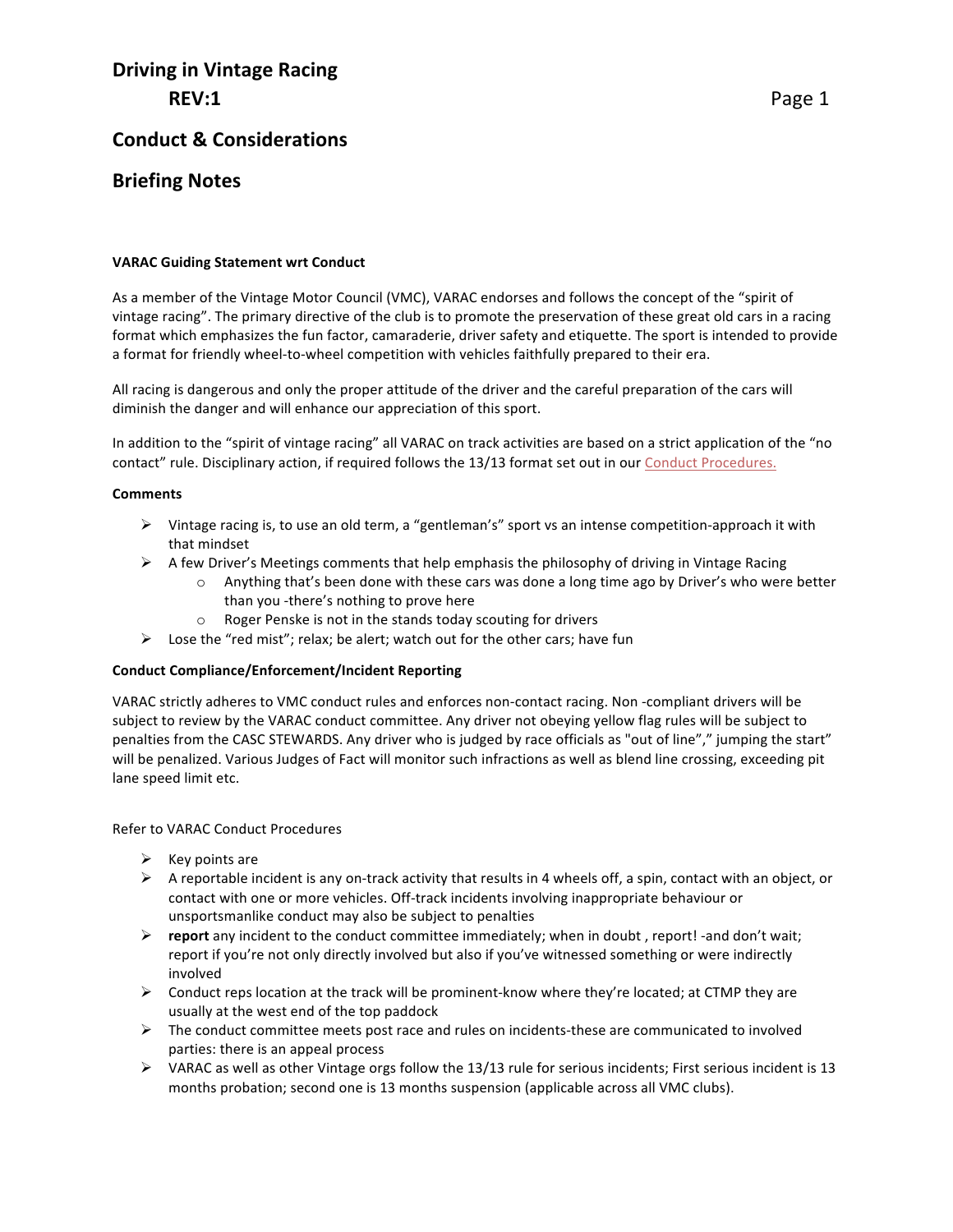# **Driving in Vintage Racing REV:1**

## **Conduct & Considerations**

## **Briefing Notes**

#### **VARAC Guiding Statement wrt Conduct**

As a member of the Vintage Motor Council (VMC), VARAC endorses and follows the concept of the "spirit of vintage racing". The primary directive of the club is to promote the preservation of these great old cars in a racing format which emphasizes the fun factor, camaraderie, driver safety and etiquette. The sport is intended to provide a format for friendly wheel-to-wheel competition with vehicles faithfully prepared to their era.

All racing is dangerous and only the proper attitude of the driver and the careful preparation of the cars will diminish the danger and will enhance our appreciation of this sport.

In addition to the "spirit of vintage racing" all VARAC on track activities are based on a strict application of the "no contact" rule. Disciplinary action, if required follows the 13/13 format set out in our Conduct Procedures.

#### **Comments**

- ▶ Vintage racing is, to use an old term, a "gentleman's" sport vs an intense competition-approach it with that mindset
- $\triangleright$  A few Driver's Meetings comments that help emphasis the philosophy of driving in Vintage Racing
	- $\circ$  Anything that's been done with these cars was done a long time ago by Driver's who were better than you -there's nothing to prove here
	- $\circ$  Roger Penske is not in the stands today scouting for drivers
- $\triangleright$  Lose the "red mist"; relax; be alert; watch out for the other cars; have fun

#### **Conduct Compliance/Enforcement/Incident Reporting**

VARAC strictly adheres to VMC conduct rules and enforces non-contact racing. Non -compliant drivers will be subject to review by the VARAC conduct committee. Any driver not obeying yellow flag rules will be subject to penalties from the CASC STEWARDS. Any driver who is judged by race officials as "out of line"," jumping the start" will be penalized. Various Judges of Fact will monitor such infractions as well as blend line crossing, exceeding pit lane speed limit etc.

Refer to VARAC Conduct Procedures

- $\triangleright$  Key points are
- $\triangleright$  A reportable incident is any on-track activity that results in 4 wheels off, a spin, contact with an object, or contact with one or more vehicles. Off-track incidents involving inappropriate behaviour or unsportsmanlike conduct may also be subject to penalties
- **P** report any incident to the conduct committee immediately; when in doubt, report! -and don't wait; report if you're not only directly involved but also if you've witnessed something or were indirectly involved
- $\triangleright$  Conduct reps location at the track will be prominent-know where they're located; at CTMP they are usually at the west end of the top paddock
- $\triangleright$  The conduct committee meets post race and rules on incidents-these are communicated to involved parties: there is an appeal process
- $\triangleright$  VARAC as well as other Vintage orgs follow the 13/13 rule for serious incidents; First serious incident is 13 months probation; second one is 13 months suspension (applicable across all VMC clubs).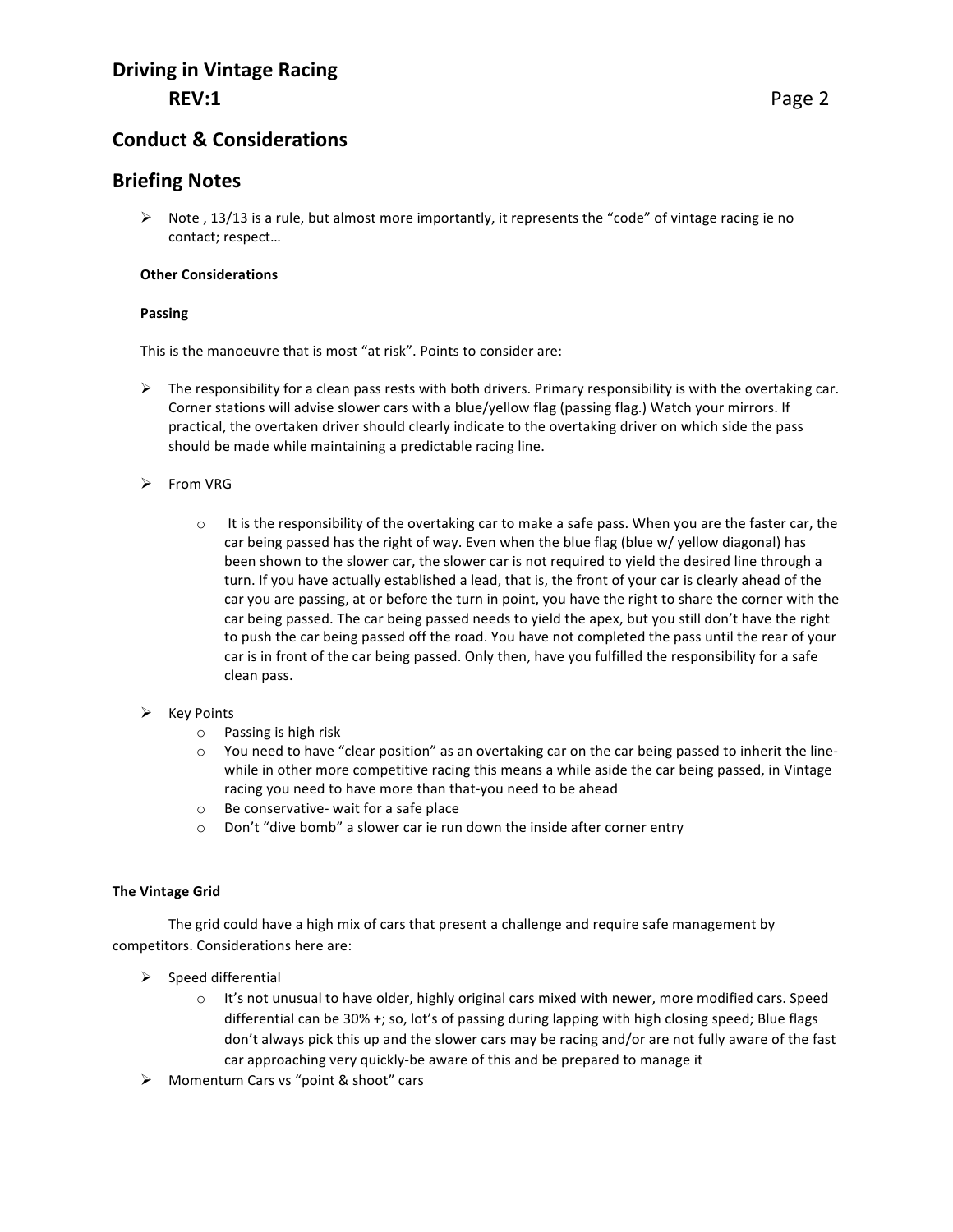# **Driving in Vintage Racing REV:1**

## **Conduct & Considerations**

### **Briefing Notes**

 $\triangleright$  Note, 13/13 is a rule, but almost more importantly, it represents the "code" of vintage racing ie no contact; respect...

#### **Other Considerations**

#### **Passing**

This is the manoeuvre that is most "at risk". Points to consider are:

- $\triangleright$  The responsibility for a clean pass rests with both drivers. Primary responsibility is with the overtaking car. Corner stations will advise slower cars with a blue/yellow flag (passing flag.) Watch your mirrors. If practical, the overtaken driver should clearly indicate to the overtaking driver on which side the pass should be made while maintaining a predictable racing line.
- $\triangleright$  From VRG
	- $\circ$  It is the responsibility of the overtaking car to make a safe pass. When you are the faster car, the car being passed has the right of way. Even when the blue flag (blue w/ yellow diagonal) has been shown to the slower car, the slower car is not required to yield the desired line through a turn. If you have actually established a lead, that is, the front of your car is clearly ahead of the car you are passing, at or before the turn in point, you have the right to share the corner with the car being passed. The car being passed needs to yield the apex, but you still don't have the right to push the car being passed off the road. You have not completed the pass until the rear of your car is in front of the car being passed. Only then, have you fulfilled the responsibility for a safe clean pass.

#### $\triangleright$  Key Points

- $\circ$  Passing is high risk
- $\circ$  You need to have "clear position" as an overtaking car on the car being passed to inherit the linewhile in other more competitive racing this means a while aside the car being passed, in Vintage racing you need to have more than that-you need to be ahead
- $\circ$  Be conservative- wait for a safe place
- $\circ$  Don't "dive bomb" a slower car ie run down the inside after corner entry

#### **The Vintage Grid**

The grid could have a high mix of cars that present a challenge and require safe management by competitors. Considerations here are:

- $\triangleright$  Speed differential
	- $\circ$  It's not unusual to have older, highly original cars mixed with newer, more modified cars. Speed differential can be 30% +; so, lot's of passing during lapping with high closing speed; Blue flags don't always pick this up and the slower cars may be racing and/or are not fully aware of the fast car approaching very quickly-be aware of this and be prepared to manage it
- $\triangleright$  Momentum Cars vs "point & shoot" cars